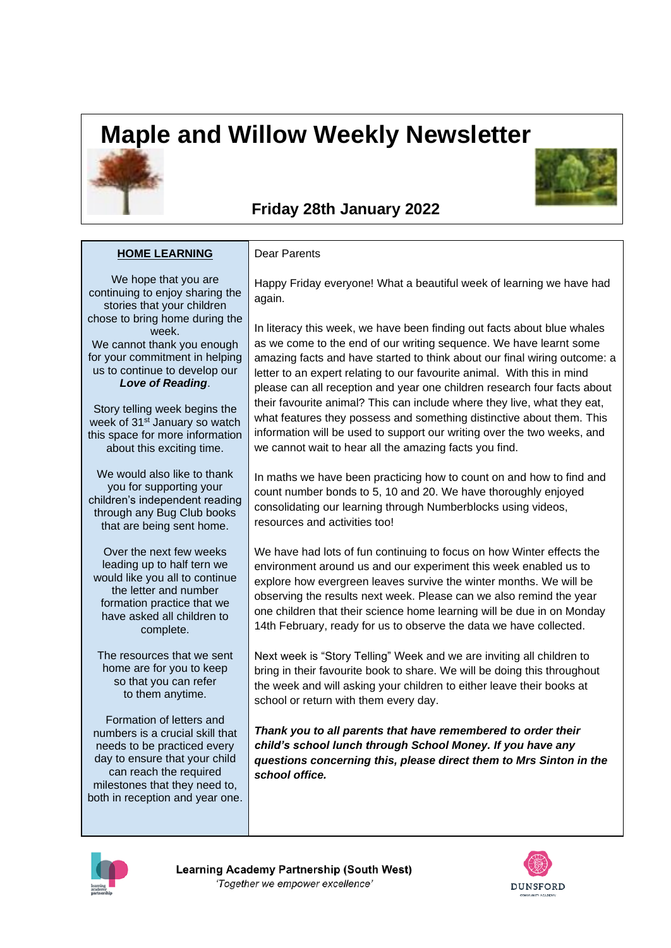## **Maple and Willow Weekly Newsletter**





## **Friday 28th January 2022**

## **HOME LEARNING**

## Dear Parents

We hope that you are continuing to enjoy sharing the stories that your children chose to bring home during the week.

We cannot thank you enough for your commitment in helping us to continue to develop our *Love of Reading*.

Story telling week begins the week of 31<sup>st</sup> January so watch this space for more information about this exciting time.

We would also like to thank you for supporting your children's independent reading through any Bug Club books that are being sent home.

Over the next few weeks leading up to half tern we would like you all to continue the letter and number formation practice that we have asked all children to complete.

The resources that we sent home are for you to keep so that you can refer to them anytime.

Formation of letters and numbers is a crucial skill that needs to be practiced every day to ensure that your child can reach the required milestones that they need to, both in reception and year one.

Happy Friday everyone! What a beautiful week of learning we have had again.

In literacy this week, we have been finding out facts about blue whales as we come to the end of our writing sequence. We have learnt some amazing facts and have started to think about our final wiring outcome: a letter to an expert relating to our favourite animal. With this in mind please can all reception and year one children research four facts about their favourite animal? This can include where they live, what they eat, what features they possess and something distinctive about them. This information will be used to support our writing over the two weeks, and we cannot wait to hear all the amazing facts you find.

In maths we have been practicing how to count on and how to find and count number bonds to 5, 10 and 20. We have thoroughly enjoyed consolidating our learning through Numberblocks using videos, resources and activities too!

We have had lots of fun continuing to focus on how Winter effects the environment around us and our experiment this week enabled us to explore how evergreen leaves survive the winter months. We will be observing the results next week. Please can we also remind the year one children that their science home learning will be due in on Monday 14th February, ready for us to observe the data we have collected.

Next week is "Story Telling" Week and we are inviting all children to bring in their favourite book to share. We will be doing this throughout the week and will asking your children to either leave their books at school or return with them every day.

*Thank you to all parents that have remembered to order their child's school lunch through School Money. If you have any questions concerning this, please direct them to Mrs Sinton in the school office.*